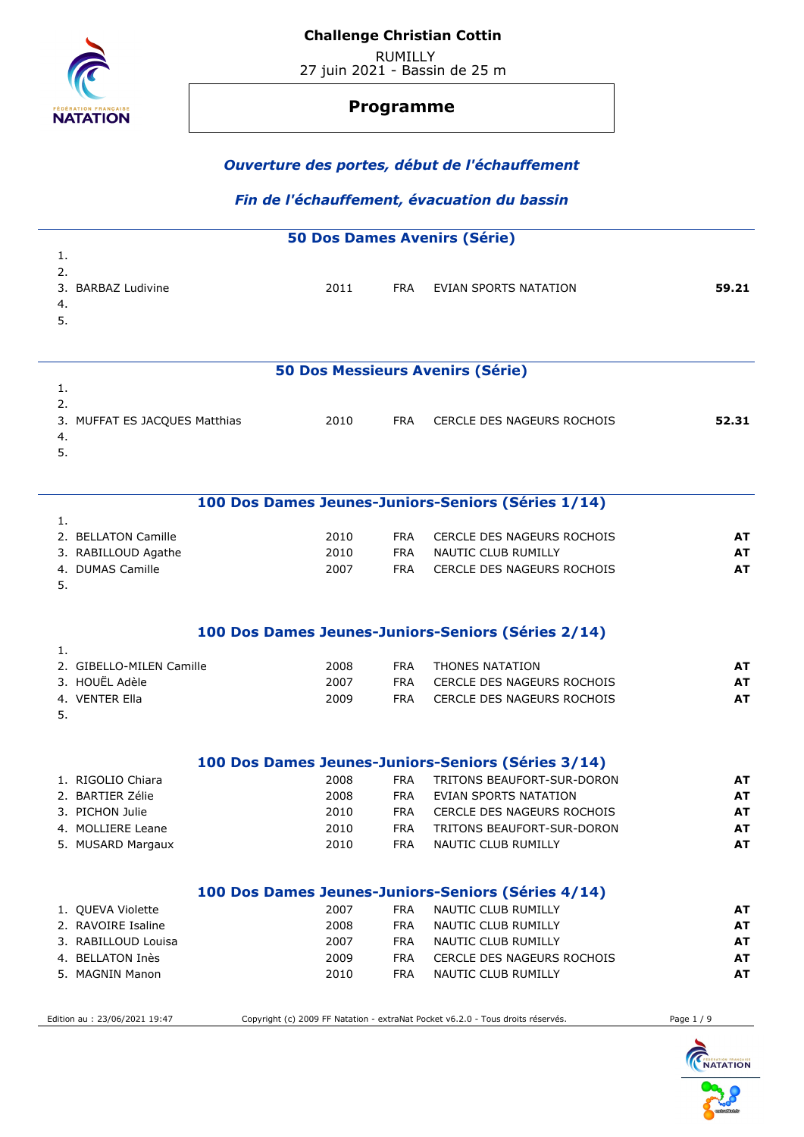

# **Programme**

### *Ouverture des portes, début de l'échauffement*

# *Fin de l'échauffement, évacuation du bassin*

|    | <b>50 Dos Dames Avenirs (Série)</b> |      |            |                                                    |           |  |  |  |  |
|----|-------------------------------------|------|------------|----------------------------------------------------|-----------|--|--|--|--|
| 1. |                                     |      |            |                                                    |           |  |  |  |  |
| 2. |                                     |      |            |                                                    |           |  |  |  |  |
|    | 3. BARBAZ Ludivine                  | 2011 | <b>FRA</b> | EVIAN SPORTS NATATION                              | 59.21     |  |  |  |  |
| 4. |                                     |      |            |                                                    |           |  |  |  |  |
| 5. |                                     |      |            |                                                    |           |  |  |  |  |
|    |                                     |      |            |                                                    |           |  |  |  |  |
|    |                                     |      |            | <b>50 Dos Messieurs Avenirs (Série)</b>            |           |  |  |  |  |
| 1. |                                     |      |            |                                                    |           |  |  |  |  |
| 2. |                                     |      |            |                                                    |           |  |  |  |  |
|    | 3. MUFFAT ES JACQUES Matthias       | 2010 | <b>FRA</b> | CERCLE DES NAGEURS ROCHOIS                         | 52.31     |  |  |  |  |
| 4. |                                     |      |            |                                                    |           |  |  |  |  |
| 5. |                                     |      |            |                                                    |           |  |  |  |  |
|    |                                     |      |            |                                                    |           |  |  |  |  |
|    |                                     |      |            | 100 Dos Dames Jeunes-Juniors-Seniors (Séries 1/14) |           |  |  |  |  |
| 1. |                                     |      |            |                                                    |           |  |  |  |  |
|    | 2. BELLATON Camille                 | 2010 | <b>FRA</b> | CERCLE DES NAGEURS ROCHOIS                         | AT        |  |  |  |  |
|    | 3. RABILLOUD Agathe                 | 2010 | <b>FRA</b> | NAUTIC CLUB RUMILLY                                | <b>AT</b> |  |  |  |  |
|    | 4. DUMAS Camille                    | 2007 | <b>FRA</b> | CERCLE DES NAGEURS ROCHOIS                         | <b>AT</b> |  |  |  |  |
| 5. |                                     |      |            |                                                    |           |  |  |  |  |
|    |                                     |      |            | 100 Dos Dames Jeunes-Juniors-Seniors (Séries 2/14) |           |  |  |  |  |
| 1. |                                     |      |            |                                                    |           |  |  |  |  |
|    | 2. GIBELLO-MILEN Camille            | 2008 | <b>FRA</b> | <b>THONES NATATION</b>                             | AT        |  |  |  |  |
|    | 3. HOUËL Adèle                      | 2007 | <b>FRA</b> | CERCLE DES NAGEURS ROCHOIS                         | AT        |  |  |  |  |
|    | 4. VENTER Ella                      | 2009 | <b>FRA</b> | CERCLE DES NAGEURS ROCHOIS                         | <b>AT</b> |  |  |  |  |
| 5. |                                     |      |            |                                                    |           |  |  |  |  |
|    |                                     |      |            |                                                    |           |  |  |  |  |
|    |                                     |      |            | 100 Dos Dames Jeunes-Juniors-Seniors (Séries 3/14) |           |  |  |  |  |
|    | 1. RIGOLIO Chiara                   | 2008 | <b>FRA</b> | TRITONS BEAUFORT-SUR-DORON                         | AT        |  |  |  |  |
|    | 2. BARTIER Zélie                    | 2008 | FRA        | EVIAN SPORTS NATATION                              | AT        |  |  |  |  |
|    | 3. PICHON Julie                     | 2010 | <b>FRA</b> | CERCLE DES NAGEURS ROCHOIS                         | <b>AT</b> |  |  |  |  |
|    | 4. MOLLIERE Leane                   | 2010 | <b>FRA</b> | TRITONS BEAUFORT-SUR-DORON                         | <b>AT</b> |  |  |  |  |
|    | 5. MUSARD Margaux                   | 2010 | <b>FRA</b> | NAUTIC CLUB RUMILLY                                | <b>AT</b> |  |  |  |  |
|    |                                     |      |            |                                                    |           |  |  |  |  |
|    |                                     |      |            |                                                    |           |  |  |  |  |

# **100 Dos Dames Jeunes-Juniors-Seniors (Séries 4/14)**

| 1. QUEVA Violette   | 2007 | FRA | NAUTIC CLUB RUMILLY        | AT |
|---------------------|------|-----|----------------------------|----|
| 2. RAVOIRE Isaline  | 2008 | FRA | NAUTIC CLUB RUMILLY        | AT |
| 3. RABILLOUD Louisa | 2007 | FRA | NAUTIC CLUB RUMILLY        | AT |
| 4. BELLATON Inès    | 2009 | FRA | CERCLE DES NAGEURS ROCHOIS | AT |
| 5. MAGNIN Manon     | 2010 | FRA | NAUTIC CLUB RUMILLY        | AT |

Edition au : 23/06/2021 19:47 Copyright (c) 2009 FF Natation - extraNat Pocket v6.2.0 - Tous droits réservés. Page 1 / 9

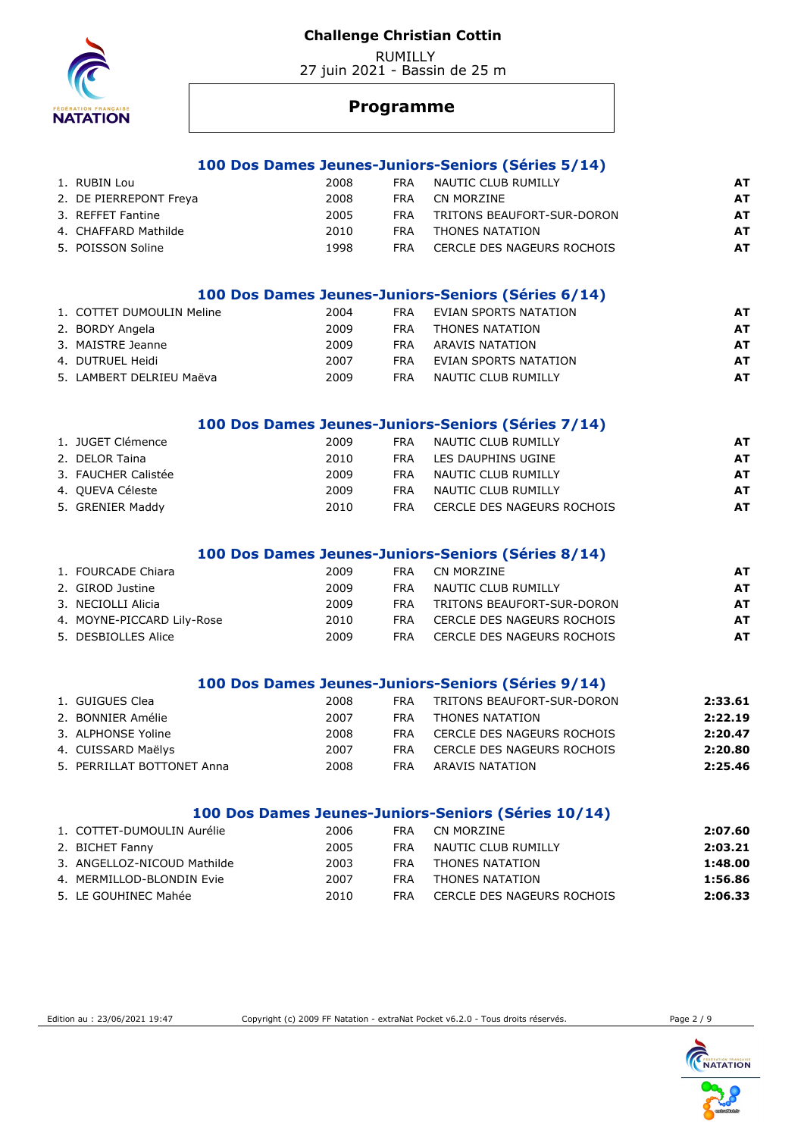

 RUMILLY 27 juin 2021 - Bassin de 25 m

# **Programme**

### **100 Dos Dames Jeunes-Juniors-Seniors (Séries 5/14)**

| 1. RUBIN Lou           | 2008 | <b>FRA</b> | NAUTIC CLUB RUMILLY        | AT |
|------------------------|------|------------|----------------------------|----|
| 2. DE PIERREPONT Freya | 2008 | FRA.       | CN MORZINE                 | AT |
| 3. REFFET Fantine      | 2005 | <b>FRA</b> | TRITONS BEAUFORT-SUR-DORON | AT |
| 4. CHAFFARD Mathilde   | 2010 | <b>FRA</b> | THONES NATATION            | AT |
| 5. POISSON Soline      | 1998 | <b>FRA</b> | CERCLE DES NAGEURS ROCHOIS | AT |

# **100 Dos Dames Jeunes-Juniors-Seniors (Séries 6/14)**

| 1. COTTET DUMOULIN Meline | 2004 | <b>FRA</b> | EVIAN SPORTS NATATION | AT  |
|---------------------------|------|------------|-----------------------|-----|
| 2. BORDY Angela           | 2009 | FRA        | THONES NATATION       | AT. |
| 3. MAISTRE Jeanne         | 2009 | FRA        | ARAVIS NATATION       | AT  |
| 4. DUTRUEL Heidi          | 2007 | <b>FRA</b> | EVIAN SPORTS NATATION | AT  |
| 5. LAMBERT DELRIEU Maëva  | 2009 | FRA        | NAUTIC CLUB RUMILLY   | AT  |

### **100 Dos Dames Jeunes-Juniors-Seniors (Séries 7/14)**

| 1. JUGET Clémence   | 2009 | <b>FRA</b> | NAUTIC CLUB RUMILLY        | AT. |
|---------------------|------|------------|----------------------------|-----|
| 2. DELOR Taina      | 2010 | FRA        | LES DAUPHINS UGINE         | AT. |
| 3. FAUCHER Calistée | 2009 | <b>FRA</b> | NAUTIC CLUB RUMILLY        | AT  |
| 4. OUEVA Céleste    | 2009 | <b>FRA</b> | NAUTIC CLUB RUMILLY        | AT. |
| 5. GRENIER Maddy    | 2010 | FRA        | CERCLE DES NAGEURS ROCHOIS | AT  |

### **100 Dos Dames Jeunes-Juniors-Seniors (Séries 8/14)**

| 1. FOURCADE Chiara         | 2009 | <b>FRA</b> | CN MORZINE                 | AT        |
|----------------------------|------|------------|----------------------------|-----------|
| 2. GIROD Justine           | 2009 | <b>FRA</b> | NAUTIC CLUB RUMILLY        | AT        |
| 3. NECIOLLI Alicia         | 2009 | <b>FRA</b> | TRITONS BEAUFORT-SUR-DORON | <b>AT</b> |
| 4. MOYNE-PICCARD Lily-Rose | 2010 | <b>FRA</b> | CERCLE DES NAGEURS ROCHOIS | AT        |
| 5. DESBIOLLES Alice        | 2009 | <b>FRA</b> | CERCLE DES NAGEURS ROCHOIS | <b>AT</b> |

#### **100 Dos Dames Jeunes-Juniors-Seniors (Séries 9/14)**

| 1. GUIGUES Clea            | 2008 | <b>FRA</b> | TRITONS BEAUFORT-SUR-DORON | 2:33.61 |
|----------------------------|------|------------|----------------------------|---------|
| 2. BONNIER Amélie          | 2007 | <b>FRA</b> | THONES NATATION            | 2:22.19 |
| 3. ALPHONSE Yoline         | 2008 | <b>FRA</b> | CERCLE DES NAGEURS ROCHOIS | 2:20.47 |
| 4. CUISSARD Maëlys         | 2007 | <b>FRA</b> | CERCLE DES NAGEURS ROCHOIS | 2:20.80 |
| 5. PERRILLAT BOTTONET Anna | 2008 | <b>FRA</b> | ARAVIS NATATION            | 2:25.46 |
|                            |      |            |                            |         |

### **100 Dos Dames Jeunes-Juniors-Seniors (Séries 10/14)**

| 1. COTTET-DUMOULIN Aurélie  | 2006 | FRA | CN MORZINE                 | 2:07.60 |
|-----------------------------|------|-----|----------------------------|---------|
| 2. BICHET Fanny             | 2005 | FRA | NAUTIC CLUB RUMILLY        | 2:03.21 |
| 3. ANGELLOZ-NICOUD Mathilde | 2003 | FRA | THONES NATATION            | 1:48.00 |
| 4. MERMILLOD-BLONDIN Evie   | 2007 | FRA | THONES NATATION            | 1:56.86 |
| 5. LE GOUHINEC Mahée        | 2010 | FRA | CERCLE DES NAGEURS ROCHOIS | 2:06.33 |

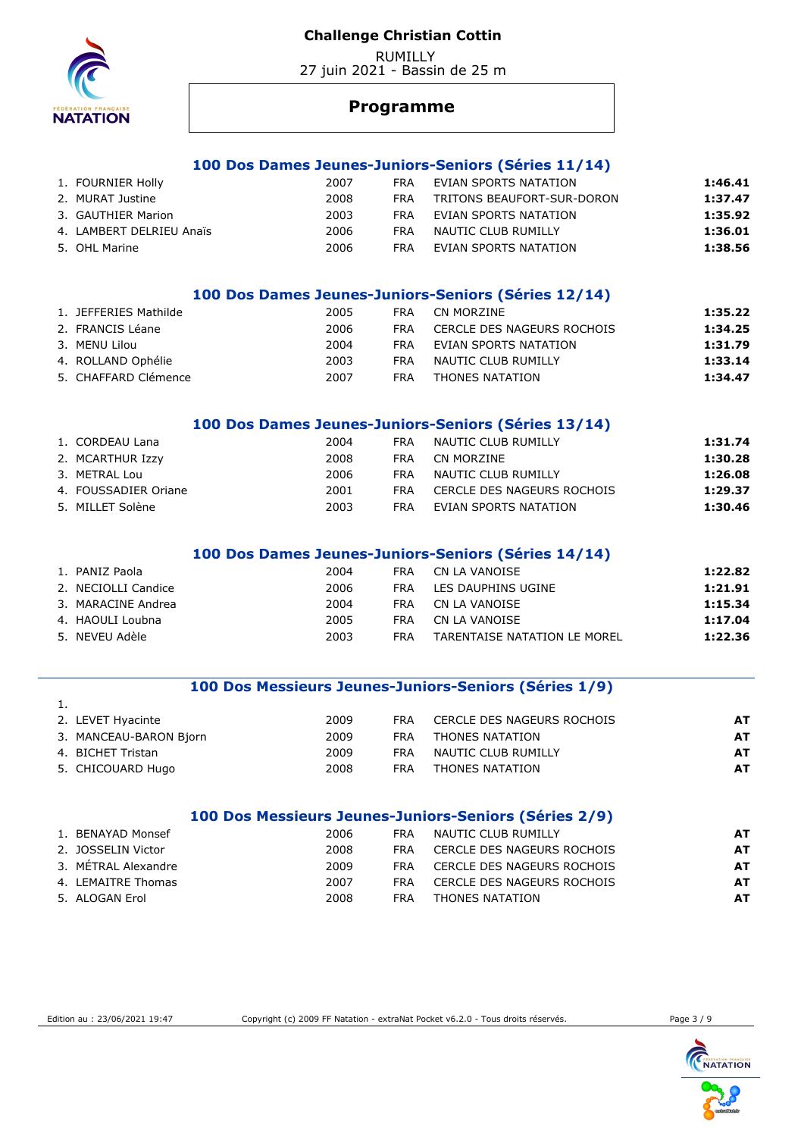RUMILLY 27 juin 2021 - Bassin de 25 m



## **Programme**

### **100 Dos Dames Jeunes-Juniors-Seniors (Séries 11/14)**

| 1. FOURNIER Holly        | 2007 | <b>FRA</b> | EVIAN SPORTS NATATION      | 1:46.41 |
|--------------------------|------|------------|----------------------------|---------|
| 2. MURAT Justine         | 2008 | <b>FRA</b> | TRITONS BEAUFORT-SUR-DORON | 1:37.47 |
| 3. GAUTHIER Marion       | 2003 | <b>FRA</b> | EVIAN SPORTS NATATION      | 1:35.92 |
| 4. LAMBERT DELRIEU Anaïs | 2006 | <b>FRA</b> | NAUTIC CLUB RUMILLY        | 1:36.01 |
| 5. OHL Marine            | 2006 | <b>FRA</b> | EVIAN SPORTS NATATION      | 1:38.56 |

## **100 Dos Dames Jeunes-Juniors-Seniors (Séries 12/14)**

| 1. JEFFERIES Mathilde | 2005 | FRA.       | CN MORZINE                 | 1:35.22 |
|-----------------------|------|------------|----------------------------|---------|
| 2. FRANCIS Léane      | 2006 | <b>FRA</b> | CERCLE DES NAGEURS ROCHOIS | 1:34.25 |
| 3. MENU Lilou         | 2004 | FRA        | EVIAN SPORTS NATATION      | 1:31.79 |
| 4. ROLLAND Ophélie    | 2003 | <b>FRA</b> | NAUTIC CLUB RUMILLY        | 1:33.14 |
| 5. CHAFFARD Clémence  | 2007 | FRA.       | THONES NATATION            | 1:34.47 |

#### **100 Dos Dames Jeunes-Juniors-Seniors (Séries 13/14)**

| 1. CORDEAU Lana      | 2004 | <b>FRA</b> | NAUTIC CLUB RUMILLY        | 1:31.74 |
|----------------------|------|------------|----------------------------|---------|
| 2. MCARTHUR Izzy     | 2008 | FRA        | CN MORZINE                 | 1:30.28 |
| 3. METRAL Lou        | 2006 | FRA        | NAUTIC CLUB RUMILLY        | 1:26.08 |
| 4. FOUSSADIER Oriane | 2001 | FRA        | CERCLE DES NAGEURS ROCHOIS | 1:29.37 |
| 5. MILLET Solène     | 2003 | FRA        | EVIAN SPORTS NATATION      | 1:30.46 |

### **100 Dos Dames Jeunes-Juniors-Seniors (Séries 14/14)**

| 1. PANIZ Paola      | 2004 | FRA | CN LA VANOISE                | 1:22.82 |
|---------------------|------|-----|------------------------------|---------|
| 2. NECIOLLI Candice | 2006 | FRA | LES DAUPHINS UGINE           | 1:21.91 |
| 3. MARACINE Andrea  | 2004 | FRA | CN LA VANOISE                | 1:15.34 |
| 4. HAOULI Loubna    | 2005 | FRA | CN LA VANOISE                | 1:17.04 |
| 5. NEVEU Adèle      | 2003 | FRA | TARENTAISE NATATION LE MOREL | 1:22.36 |

### **100 Dos Messieurs Jeunes-Juniors-Seniors (Séries 1/9)**

| 2. LEVET Hyacinte      | 2009 | <b>FRA</b> | CERCLE DES NAGEURS ROCHOIS | AT |
|------------------------|------|------------|----------------------------|----|
| 3. MANCEAU-BARON Bjorn | 2009 | <b>FRA</b> | THONES NATATION            | AT |
| 4. BICHET Tristan      | 2009 | <b>FRA</b> | NAUTIC CLUB RUMILLY        | AT |
| 5. CHICOUARD Hugo      | 2008 | <b>FRA</b> | THONES NATATION            | AT |

#### **100 Dos Messieurs Jeunes-Juniors-Seniors (Séries 2/9)**

| 1. BENAYAD Monsef   | 2006 | FRA  | NAUTIC CLUB RUMILLY        | AT        |
|---------------------|------|------|----------------------------|-----------|
| 2. JOSSELIN Victor  | 2008 | FRA. | CERCLE DES NAGEURS ROCHOIS | AT        |
| 3. METRAL Alexandre | 2009 | FRA  | CERCLE DES NAGEURS ROCHOIS | <b>AT</b> |
| 4. LEMAITRE Thomas  | 2007 | FRA  | CERCLE DES NAGEURS ROCHOIS | AT        |
| 5. ALOGAN Erol      | 2008 | FRA  | THONES NATATION            | <b>AT</b> |

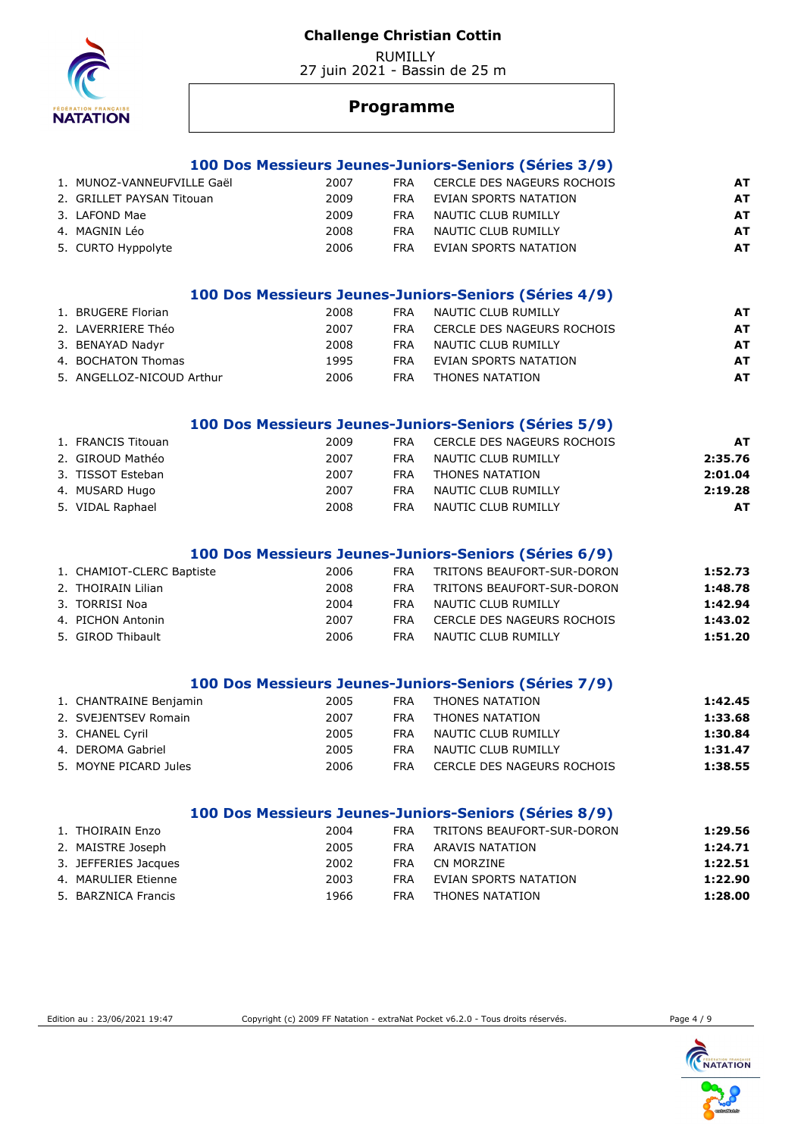RUMILLY 27 juin 2021 - Bassin de 25 m



## **Programme**

#### **100 Dos Messieurs Jeunes-Juniors-Seniors (Séries 3/9)**

| 1. MUNOZ-VANNEUFVILLE Gaël | 2007 | FRA        | CERCLE DES NAGEURS ROCHOIS | AT |
|----------------------------|------|------------|----------------------------|----|
| 2. GRILLET PAYSAN Titouan  | 2009 | <b>FRA</b> | EVIAN SPORTS NATATION      | AT |
| 3. LAFOND Mae              | 2009 | FRA        | NAUTIC CLUB RUMILLY        | AT |
| 4. MAGNIN Léo              | 2008 | <b>FRA</b> | NAUTIC CLUB RUMILLY        | AT |
| 5. CURTO Hyppolyte         | 2006 | FRA        | EVIAN SPORTS NATATION      | AT |

### **100 Dos Messieurs Jeunes-Juniors-Seniors (Séries 4/9)**

| 1. BRUGERE Florian        | 2008 | <b>FRA</b> | NAUTIC CLUB RUMILLY        | AT  |
|---------------------------|------|------------|----------------------------|-----|
| 2. LAVERRIERE Théo        | 2007 | <b>FRA</b> | CERCLE DES NAGEURS ROCHOIS | AT  |
| 3. BENAYAD Nadyr          | 2008 | <b>FRA</b> | NAUTIC CLUB RUMILLY        | AT  |
| 4. BOCHATON Thomas        | 1995 | <b>FRA</b> | EVIAN SPORTS NATATION      | AT. |
| 5. ANGELLOZ-NICOUD Arthur | 2006 | <b>FRA</b> | THONES NATATION            | AT. |
|                           |      |            |                            |     |

#### **100 Dos Messieurs Jeunes-Juniors-Seniors (Séries 5/9)**

| 1. FRANCIS Titouan | 2009 | <b>FRA</b> | CERCLE DES NAGEURS ROCHOIS | <b>AT</b> |
|--------------------|------|------------|----------------------------|-----------|
| 2. GIROUD Mathéo   | 2007 | <b>FRA</b> | NAUTIC CLUB RUMILLY        | 2:35.76   |
| 3. TISSOT Esteban  | 2007 | <b>FRA</b> | THONES NATATION            | 2:01.04   |
| 4. MUSARD Hugo     | 2007 | <b>FRA</b> | NAUTIC CLUB RUMILLY        | 2:19.28   |
| 5. VIDAL Raphael   | 2008 | <b>FRA</b> | NAUTIC CLUB RUMILLY        | AT        |

#### **100 Dos Messieurs Jeunes-Juniors-Seniors (Séries 6/9)**

| 1. CHAMIOT-CLERC Baptiste | 2006 | <b>FRA</b> | TRITONS BEAUFORT-SUR-DORON | 1:52.73 |
|---------------------------|------|------------|----------------------------|---------|
| 2. THOIRAIN Lilian        | 2008 | <b>FRA</b> | TRITONS BEAUFORT-SUR-DORON | 1:48.78 |
| 3. TORRISI Noa            | 2004 | FRA.       | NAUTIC CLUB RUMILLY        | 1:42.94 |
| 4. PICHON Antonin         | 2007 | <b>FRA</b> | CERCLE DES NAGEURS ROCHOIS | 1:43.02 |
| 5. GIROD Thibault         | 2006 | <b>FRA</b> | NAUTIC CLUB RUMILLY        | 1:51.20 |

#### **100 Dos Messieurs Jeunes-Juniors-Seniors (Séries 7/9)**

| 1. CHANTRAINE Benjamin | 2005 | <b>FRA</b> | THONES NATATION            | 1:42.45 |
|------------------------|------|------------|----------------------------|---------|
| 2. SVEJENTSEV Romain   | 2007 | <b>FRA</b> | THONES NATATION            | 1:33.68 |
| 3. CHANEL Cyril        | 2005 | <b>FRA</b> | NAUTIC CLUB RUMILLY        | 1:30.84 |
| 4. DEROMA Gabriel      | 2005 | <b>FRA</b> | NAUTIC CLUB RUMILLY        | 1:31.47 |
| 5. MOYNE PICARD Jules  | 2006 | <b>FRA</b> | CERCLE DES NAGEURS ROCHOIS | 1:38.55 |
|                        |      |            |                            |         |

## **100 Dos Messieurs Jeunes-Juniors-Seniors (Séries 8/9)**

| 1. THOIRAIN Enzo     | 2004 | FRA        | TRITONS BEAUFORT-SUR-DORON | 1:29.56 |
|----------------------|------|------------|----------------------------|---------|
| 2. MAISTRE Joseph    | 2005 | <b>FRA</b> | ARAVIS NATATION            | 1:24.71 |
| 3. JEFFERIES Jacques | 2002 | FRA.       | CN MORZINE                 | 1:22.51 |
| 4. MARULIER Etienne  | 2003 | FRA        | EVIAN SPORTS NATATION      | 1:22.90 |
| 5. BARZNICA Francis  | 1966 | <b>FRA</b> | THONES NATATION            | 1:28.00 |

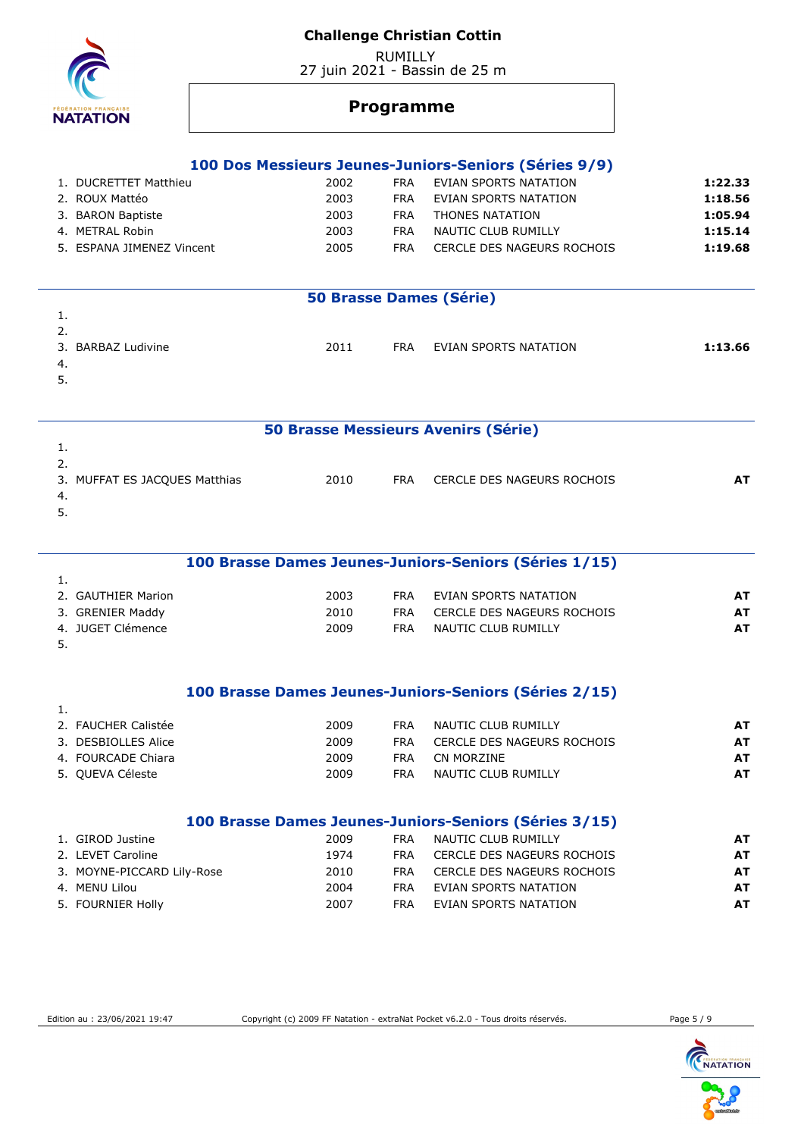RUMILLY 27 juin 2021 - Bassin de 25 m



1.

1.

## **Programme**

#### **100 Dos Messieurs Jeunes-Juniors-Seniors (Séries 9/9)**

| 1. DUCRETTET Matthieu     | 2002 | FRA | EVIAN SPORTS NATATION      | 1:22.33 |
|---------------------------|------|-----|----------------------------|---------|
| 2. ROUX Mattéo            | 2003 | FRA | EVIAN SPORTS NATATION      | 1:18.56 |
| 3. BARON Baptiste         | 2003 | FRA | THONES NATATION            | 1:05.94 |
| 4. METRAL Robin           | 2003 | FRA | NAUTIC CLUB RUMILLY        | 1:15.14 |
| 5. ESPANA JIMENEZ Vincent | 2005 | FRA | CERCLE DES NAGEURS ROCHOIS | 1:19.68 |

| <b>50 Brasse Dames (Série)</b> |      |            |                       |         |  |  |  |
|--------------------------------|------|------------|-----------------------|---------|--|--|--|
|                                |      |            |                       |         |  |  |  |
| 2.                             |      |            |                       |         |  |  |  |
| 3. BARBAZ Ludivine             | 2011 | <b>FRA</b> | EVIAN SPORTS NATATION | 1:13.66 |  |  |  |
| -4.                            |      |            |                       |         |  |  |  |
| 5.                             |      |            |                       |         |  |  |  |

### **50 Brasse Messieurs Avenirs (Série)**

| 3. MUFFAT ES JACQUES Matthias | 2010 | <b>FRA</b> | CERCLE DES NAGEURS ROCHOIS |  |
|-------------------------------|------|------------|----------------------------|--|
| -4.                           |      |            |                            |  |
| <u>.</u>                      |      |            |                            |  |

# **100 Brasse Dames Jeunes-Juniors-Seniors (Séries 1/15)**

| 2. GAUTHIER Marion | 2003 | <b>FRA</b> | EVIAN SPORTS NATATION      |    |
|--------------------|------|------------|----------------------------|----|
| 3. GRENIER Maddy   | 2010 | FRA        | CERCLE DES NAGEURS ROCHOIS | AT |
| 4. JUGET Clémence  | 2009 | <b>FRA</b> | NAUTIC CLUB RUMILLY        |    |
|                    |      |            |                            |    |

### **100 Brasse Dames Jeunes-Juniors-Seniors (Séries 2/15)**

| 2. FAUCHER Calistée | 2009 | <b>FRA</b> | NAUTIC CLUB RUMILLY        | AT |
|---------------------|------|------------|----------------------------|----|
| 3. DESBIOLLES Alice | 2009 | <b>FRA</b> | CERCLE DES NAGEURS ROCHOIS | AT |
| 4. FOURCADE Chiara  | 2009 | FRA.       | CN MORZINE                 | AT |
| 5. QUEVA Céleste    | 2009 | FRA        | NAUTIC CLUB RUMILLY        | AT |

#### **100 Brasse Dames Jeunes-Juniors-Seniors (Séries 3/15)**

| 1. GIROD Justine           | 2009 | <b>FRA</b> | NAUTIC CLUB RUMILLY        | AT. |
|----------------------------|------|------------|----------------------------|-----|
| 2. LEVET Caroline          | 1974 | FRA        | CERCLE DES NAGEURS ROCHOIS | AT  |
| 3. MOYNE-PICCARD Lily-Rose | 2010 | FRA        | CERCLE DES NAGEURS ROCHOIS | AT  |
| 4. MENU Lilou              | 2004 | FRA        | EVIAN SPORTS NATATION      | AT  |
| 5. FOURNIER Holly          | 2007 | FRA        | EVIAN SPORTS NATATION      | AT  |
|                            |      |            |                            |     |

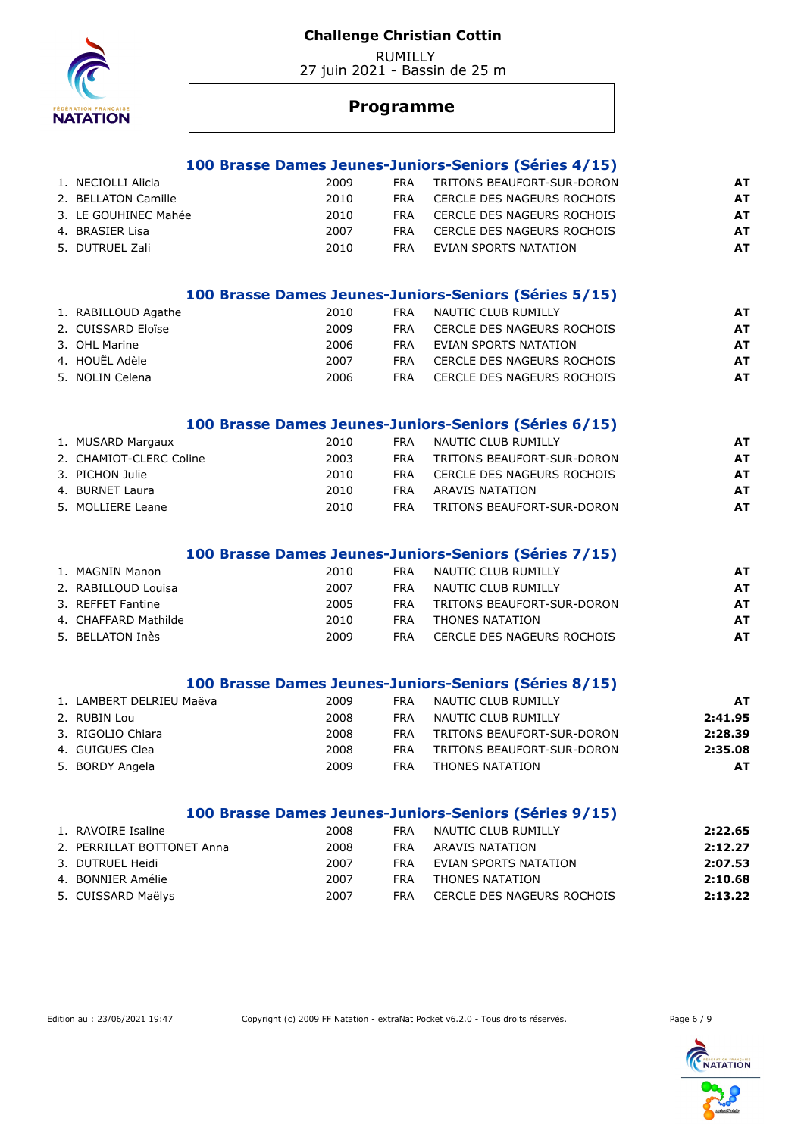RUMILLY 27 juin 2021 - Bassin de 25 m



## **Programme**

#### **100 Brasse Dames Jeunes-Juniors-Seniors (Séries 4/15)**

| 1. NECIOLLI Alicia   | 2009 | FRA        | TRITONS BEAUFORT-SUR-DORON | AT |
|----------------------|------|------------|----------------------------|----|
| 2. BELLATON Camille  | 2010 | <b>FRA</b> | CERCLE DES NAGEURS ROCHOIS | AT |
| 3. LE GOUHINEC Mahée | 2010 | <b>FRA</b> | CERCLE DES NAGEURS ROCHOIS | AT |
| 4. BRASIER Lisa      | 2007 | <b>FRA</b> | CERCLE DES NAGEURS ROCHOIS | AT |
| 5. DUTRUEL Zali      | 2010 | <b>FRA</b> | EVIAN SPORTS NATATION      | AT |

### **100 Brasse Dames Jeunes-Juniors-Seniors (Séries 5/15)**

| 1. RABILLOUD Agathe | 2010 | <b>FRA</b> | NAUTIC CLUB RUMILLY        | AT |
|---------------------|------|------------|----------------------------|----|
| 2. CUISSARD Eloïse  | 2009 | <b>FRA</b> | CERCLE DES NAGEURS ROCHOIS | AT |
| 3. OHL Marine       | 2006 | <b>FRA</b> | EVIAN SPORTS NATATION      | AT |
| 4. HOUËL Adèle      | 2007 | <b>FRA</b> | CERCLE DES NAGEURS ROCHOIS | AT |
| 5. NOLIN Celena     | 2006 | <b>FRA</b> | CERCLE DES NAGEURS ROCHOIS | AT |
|                     |      |            |                            |    |

#### **100 Brasse Dames Jeunes-Juniors-Seniors (Séries 6/15)**

| 1. MUSARD Margaux       | 2010 | <b>FRA</b> | NAUTIC CLUB RUMILLY        | AT |
|-------------------------|------|------------|----------------------------|----|
| 2. CHAMIOT-CLERC Coline | 2003 | FRA        | TRITONS BEAUFORT-SUR-DORON | AT |
| 3. PICHON Julie         | 2010 | <b>FRA</b> | CERCLE DES NAGEURS ROCHOIS | AT |
| 4. BURNET Laura         | 2010 | FRA        | ARAVIS NATATION            | AT |
| 5. MOLLIERE Leane       | 2010 | FRA        | TRITONS BEAUFORT-SUR-DORON | AT |

### **100 Brasse Dames Jeunes-Juniors-Seniors (Séries 7/15)**

| 1. MAGNIN Manon      | 2010 | <b>FRA</b> | NAUTIC CLUB RUMILLY        | AT |
|----------------------|------|------------|----------------------------|----|
| 2. RABILLOUD Louisa  | 2007 | FRA        | NAUTIC CLUB RUMILLY        | AT |
| 3. REFFET Fantine    | 2005 | <b>FRA</b> | TRITONS BEAUFORT-SUR-DORON | AT |
| 4. CHAFFARD Mathilde | 2010 | FRA        | THONES NATATION            | AT |
| 5. BELLATON Inès     | 2009 | FRA        | CERCLE DES NAGEURS ROCHOIS | AT |

#### **100 Brasse Dames Jeunes-Juniors-Seniors (Séries 8/15)**

| 1. LAMBERT DELRIEU Maëva | 2009 | <b>FRA</b> | NAUTIC CLUB RUMILLY        | AT      |
|--------------------------|------|------------|----------------------------|---------|
| 2. RUBIN Lou             | 2008 | <b>FRA</b> | NAUTIC CLUB RUMILLY        | 2:41.95 |
| 3. RIGOLIO Chiara        | 2008 | <b>FRA</b> | TRITONS BEAUFORT-SUR-DORON | 2:28.39 |
| 4. GUIGUES Clea          | 2008 | <b>FRA</b> | TRITONS BEAUFORT-SUR-DORON | 2:35.08 |
| 5. BORDY Angela          | 2009 | <b>FRA</b> | THONES NATATION            | AT      |
|                          |      |            |                            |         |

#### **100 Brasse Dames Jeunes-Juniors-Seniors (Séries 9/15)**

| 1. RAVOIRE Isaline         | 2008 | FRA | NAUTIC CLUB RUMILLY        | 2:22.65 |
|----------------------------|------|-----|----------------------------|---------|
| 2. PERRILLAT BOTTONET Anna | 2008 | FRA | ARAVIS NATATION            | 2:12.27 |
| 3. DUTRUEL Heidi           | 2007 | FRA | EVIAN SPORTS NATATION      | 2:07.53 |
| 4. BONNIER Amélie          | 2007 | FRA | THONES NATATION            | 2:10.68 |
| 5. CUISSARD Maëlys         | 2007 | FRA | CERCLE DES NAGEURS ROCHOIS | 2:13.22 |

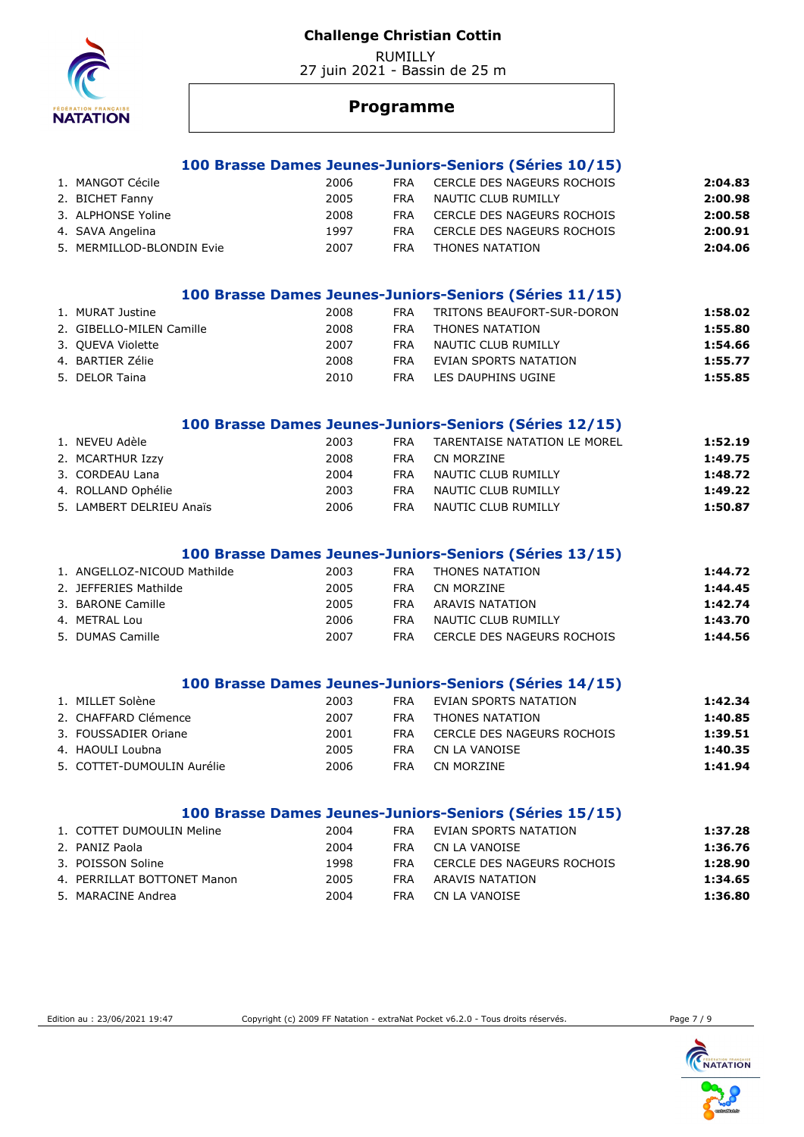RUMILLY 27 juin 2021 - Bassin de 25 m



## **Programme**

#### **100 Brasse Dames Jeunes-Juniors-Seniors (Séries 10/15)**

| 1. MANGOT Cécile          | 2006 | <b>FRA</b> | CERCLE DES NAGEURS ROCHOIS | 2:04.83 |
|---------------------------|------|------------|----------------------------|---------|
| 2. BICHET Fanny           | 2005 | <b>FRA</b> | NAUTIC CLUB RUMILLY        | 2:00.98 |
| 3. ALPHONSE Yoline        | 2008 | FRA        | CERCLE DES NAGEURS ROCHOIS | 2:00.58 |
| 4. SAVA Angelina          | 1997 | <b>FRA</b> | CERCLE DES NAGEURS ROCHOIS | 2:00.91 |
| 5. MERMILLOD-BLONDIN Evie | 2007 | <b>FRA</b> | THONES NATATION            | 2:04.06 |

#### **100 Brasse Dames Jeunes-Juniors-Seniors (Séries 11/15)**

| 1. MURAT Justine         | 2008 | FRA        | TRITONS BEAUFORT-SUR-DORON | 1:58.02 |
|--------------------------|------|------------|----------------------------|---------|
| 2. GIBELLO-MILEN Camille | 2008 | FRA        | THONES NATATION            | 1:55.80 |
| 3. QUEVA Violette        | 2007 | <b>FRA</b> | NAUTIC CLUB RUMILLY        | 1:54.66 |
| 4. BARTIER Zélie         | 2008 | <b>FRA</b> | EVIAN SPORTS NATATION      | 1:55.77 |
| 5. DELOR Taina           | 2010 | FRA        | LES DAUPHINS UGINE         | 1:55.85 |

#### **100 Brasse Dames Jeunes-Juniors-Seniors (Séries 12/15)**

| 1. NEVEU Adèle           | 2003 | <b>FRA</b> | TARENTAISE NATATION LE MOREL | 1:52.19 |
|--------------------------|------|------------|------------------------------|---------|
| 2. MCARTHUR Izzy         | 2008 | FRA.       | CN MORZINE                   | 1:49.75 |
| 3. CORDEAU Lana          | 2004 | <b>FRA</b> | NAUTIC CLUB RUMILLY          | 1:48.72 |
| 4. ROLLAND Ophélie       | 2003 | <b>FRA</b> | NAUTIC CLUB RUMILLY          | 1:49.22 |
| 5. LAMBERT DELRIEU Anaïs | 2006 | <b>FRA</b> | NAUTIC CLUB RUMILLY          | 1:50.87 |

### **100 Brasse Dames Jeunes-Juniors-Seniors (Séries 13/15)**

| 1. ANGELLOZ-NICOUD Mathilde | 2003 | FRA        | THONES NATATION            | 1:44.72 |
|-----------------------------|------|------------|----------------------------|---------|
| 2. JEFFERIES Mathilde       | 2005 | <b>FRA</b> | CN MORZINE                 | 1:44.45 |
| 3. BARONE Camille           | 2005 | <b>FRA</b> | ARAVIS NATATION            | 1:42.74 |
| 4. METRAL Lou               | 2006 | FRA        | NAUTIC CLUB RUMILLY        | 1:43.70 |
| 5. DUMAS Camille            | 2007 | FRA        | CERCLE DES NAGEURS ROCHOIS | 1:44.56 |

#### **100 Brasse Dames Jeunes-Juniors-Seniors (Séries 14/15)**

| 1. MILLET Solène           | 2003 | <b>FRA</b> | EVIAN SPORTS NATATION      | 1:42.34 |
|----------------------------|------|------------|----------------------------|---------|
| 2. CHAFFARD Clémence       | 2007 | <b>FRA</b> | THONES NATATION            | 1:40.85 |
| 3. FOUSSADIER Oriane       | 2001 | FRA        | CERCLE DES NAGEURS ROCHOIS | 1:39.51 |
| 4. HAOULI Loubna           | 2005 | <b>FRA</b> | CN LA VANOISE              | 1:40.35 |
| 5. COTTET-DUMOULIN Aurélie | 2006 | FRA        | CN MORZINE                 | 1:41.94 |
|                            |      |            |                            |         |

### **100 Brasse Dames Jeunes-Juniors-Seniors (Séries 15/15)**

| 1. COTTET DUMOULIN Meline   | 2004 | FRA  | EVIAN SPORTS NATATION      | 1:37.28 |
|-----------------------------|------|------|----------------------------|---------|
| 2. PANIZ Paola              | 2004 | FRA  | CN LA VANOISE              | 1:36.76 |
| 3. POISSON Soline           | 1998 | FRA. | CERCLE DES NAGEURS ROCHOIS | 1:28.90 |
| 4. PERRILLAT BOTTONET Manon | 2005 | FRA  | ARAVIS NATATION            | 1:34.65 |
| 5. MARACINE Andrea          | 2004 | FRA  | CN LA VANOISE              | 1:36.80 |

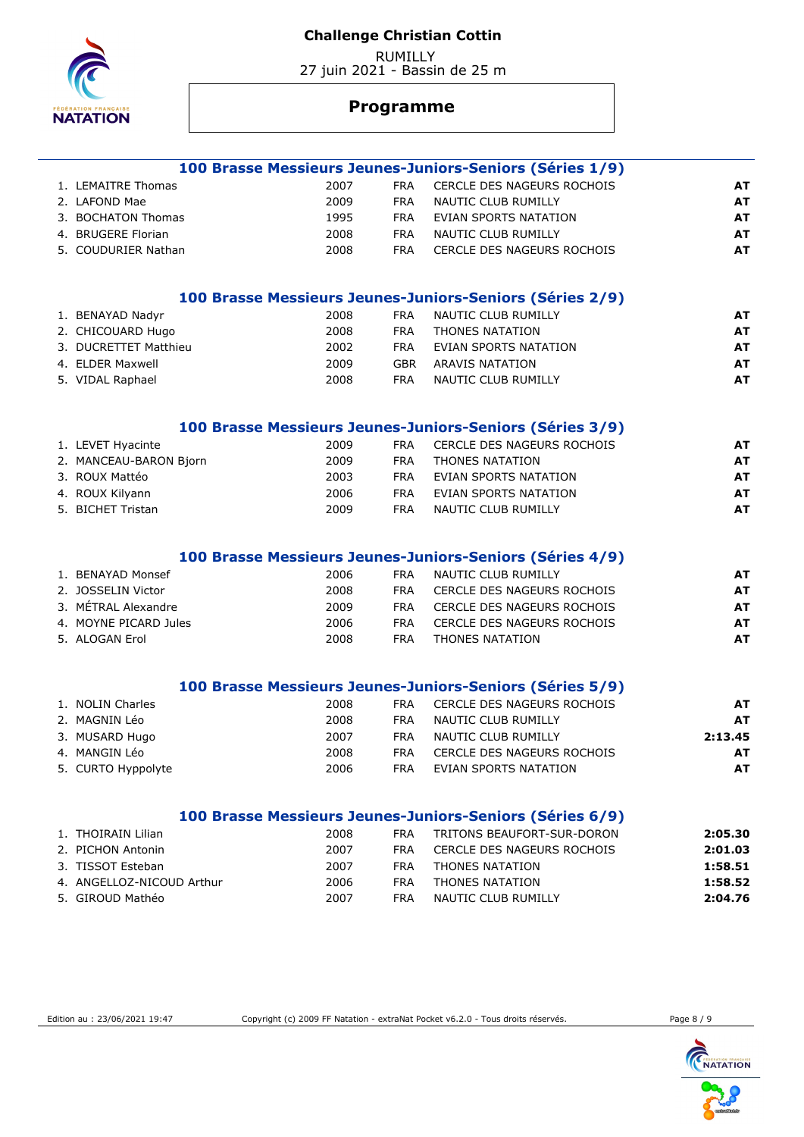

 RUMILLY 27 juin 2021 - Bassin de 25 m

# **Programme**

|                        |      |            | 100 Brasse Messieurs Jeunes-Juniors-Seniors (Séries 1/9) |           |
|------------------------|------|------------|----------------------------------------------------------|-----------|
| 1. LEMAITRE Thomas     | 2007 | <b>FRA</b> | CERCLE DES NAGEURS ROCHOIS                               | <b>AT</b> |
| 2. LAFOND Mae          | 2009 | <b>FRA</b> | NAUTIC CLUB RUMILLY                                      | <b>AT</b> |
| 3. BOCHATON Thomas     | 1995 | <b>FRA</b> | EVIAN SPORTS NATATION                                    | <b>AT</b> |
| 4. BRUGERE Florian     | 2008 | <b>FRA</b> | <b>NAUTIC CLUB RUMILLY</b>                               | <b>AT</b> |
| 5. COUDURIER Nathan    | 2008 | <b>FRA</b> | CERCLE DES NAGEURS ROCHOIS                               | <b>AT</b> |
|                        |      |            |                                                          |           |
|                        |      |            | 100 Brasse Messieurs Jeunes-Juniors-Seniors (Séries 2/9) |           |
| 1. BENAYAD Nadyr       | 2008 | <b>FRA</b> | NAUTIC CLUB RUMILLY                                      | <b>AT</b> |
| 2. CHICOUARD Hugo      | 2008 | <b>FRA</b> | THONES NATATION                                          | <b>AT</b> |
| 3. DUCRETTET Matthieu  | 2002 | <b>FRA</b> | EVIAN SPORTS NATATION                                    | <b>AT</b> |
| 4. ELDER Maxwell       | 2009 | <b>GBR</b> | <b>ARAVIS NATATION</b>                                   | <b>AT</b> |
| 5. VIDAL Raphael       | 2008 | <b>FRA</b> | NAUTIC CLUB RUMILLY                                      | <b>AT</b> |
|                        |      |            | 100 Brasse Messieurs Jeunes-Juniors-Seniors (Séries 3/9) |           |
| 1. LEVET Hyacinte      | 2009 | <b>FRA</b> | <b>CERCLE DES NAGEURS ROCHOIS</b>                        | <b>AT</b> |
| 2. MANCEAU-BARON Bjorn | 2009 | <b>FRA</b> | THONES NATATION                                          | <b>AT</b> |
| 3. ROUX Mattéo         | 2003 | <b>FRA</b> | EVIAN SPORTS NATATION                                    | <b>AT</b> |
| 4. ROUX Kilyann        | 2006 | <b>FRA</b> | <b>EVIAN SPORTS NATATION</b>                             | <b>AT</b> |
| 5. BICHET Tristan      | 2009 | <b>FRA</b> | NAUTIC CLUB RUMILLY                                      | <b>AT</b> |
|                        |      |            | 100 Brasse Messieurs Jeunes-Juniors-Seniors (Séries 4/9) |           |
| 1. BENAYAD Monsef      | 2006 | <b>FRA</b> | NAUTIC CLUB RUMILLY                                      | <b>AT</b> |
| 2. JOSSELIN Victor     | 2008 | <b>FRA</b> | CERCLE DES NAGEURS ROCHOIS                               | <b>AT</b> |
| 3. MÉTRAL Alexandre    | 2009 | <b>FRA</b> | CERCLE DES NAGEURS ROCHOIS                               | <b>AT</b> |
| 4. MOYNE PICARD Jules  | 2006 | <b>FRA</b> | CERCLE DES NAGEURS ROCHOIS                               | <b>AT</b> |
| 5. ALOGAN Erol         | 2008 | <b>FRA</b> | THONES NATATION                                          | <b>AT</b> |
|                        |      |            |                                                          |           |
|                        |      |            | 100 Brasse Messieurs Jeunes-Juniors-Seniors (Séries 5/9) |           |
| 1. NOLIN Charles       | 2008 | <b>FRA</b> | CERCLE DES NAGEURS ROCHOIS                               | <b>AT</b> |
| 2. MAGNIN Léo          | 2008 | <b>FRA</b> | NAUTIC CLUB RUMILLY                                      | <b>AT</b> |
| 3. MUSARD Hugo         | 2007 | <b>FRA</b> | NAUTIC CLUB RUMILLY                                      | 2:13.45   |
| 4. MANGIN Léo          | 2008 | <b>FRA</b> | CERCLE DES NAGEURS ROCHOIS                               | <b>AT</b> |
| 5. CURTO Hyppolyte     | 2006 | <b>FRA</b> | EVIAN SPORTS NATATION                                    | <b>AT</b> |
|                        |      |            | 100 Brasse Messieurs Jeunes-Juniors-Seniors (Séries 6/9) |           |
| 1. THOIRAIN Lilian     | 2008 | <b>FRA</b> | TRITONS BEAUFORT-SUR-DORON                               | 2:05.30   |
| 2. PICHON Antonin      | 2007 | FRA        | CERCLE DES NAGEURS ROCHOIS                               | 2:01.03   |

| 2. PICHON Antonin         | 2007 | FRA.       | CERCLE DES NAGEURS ROCHOIS | 2:01.03 |
|---------------------------|------|------------|----------------------------|---------|
| 3. TISSOT Esteban         | 2007 | <b>FRA</b> | THONES NATATION            | 1:58.51 |
| 4. ANGELLOZ-NICOUD Arthur | 2006 | <b>FRA</b> | THONES NATATION            | 1:58.52 |
| 5. GIROUD Mathéo          | 2007 | <b>FRA</b> | NAUTIC CLUB RUMILLY        | 2:04.76 |